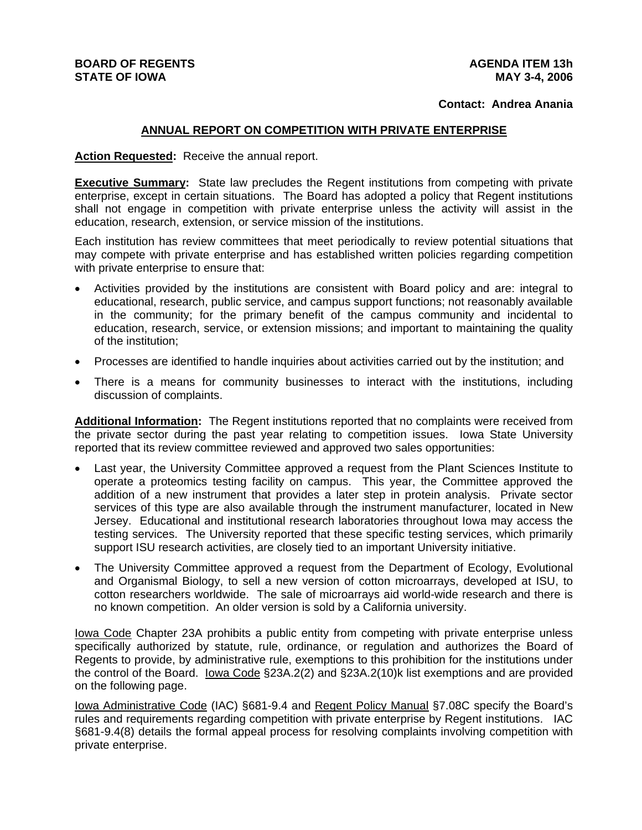## **BOARD OF REGENTS STATE OF IOWA**

## **Contact: Andrea Anania**

## **ANNUAL REPORT ON COMPETITION WITH PRIVATE ENTERPRISE**

**Action Requested:** Receive the annual report.

**Executive Summary:** State law precludes the Regent institutions from competing with private enterprise, except in certain situations. The Board has adopted a policy that Regent institutions shall not engage in competition with private enterprise unless the activity will assist in the education, research, extension, or service mission of the institutions.

Each institution has review committees that meet periodically to review potential situations that may compete with private enterprise and has established written policies regarding competition with private enterprise to ensure that:

- Activities provided by the institutions are consistent with Board policy and are: integral to educational, research, public service, and campus support functions; not reasonably available in the community; for the primary benefit of the campus community and incidental to education, research, service, or extension missions; and important to maintaining the quality of the institution;
- Processes are identified to handle inquiries about activities carried out by the institution; and
- There is a means for community businesses to interact with the institutions, including discussion of complaints.

**Additional Information:** The Regent institutions reported that no complaints were received from the private sector during the past year relating to competition issues. Iowa State University reported that its review committee reviewed and approved two sales opportunities:

- Last year, the University Committee approved a request from the Plant Sciences Institute to operate a proteomics testing facility on campus. This year, the Committee approved the addition of a new instrument that provides a later step in protein analysis. Private sector services of this type are also available through the instrument manufacturer, located in New Jersey. Educational and institutional research laboratories throughout Iowa may access the testing services. The University reported that these specific testing services, which primarily support ISU research activities, are closely tied to an important University initiative.
- The University Committee approved a request from the Department of Ecology, Evolutional and Organismal Biology, to sell a new version of cotton microarrays, developed at ISU, to cotton researchers worldwide. The sale of microarrays aid world-wide research and there is no known competition. An older version is sold by a California university.

Iowa Code Chapter 23A prohibits a public entity from competing with private enterprise unless specifically authorized by statute, rule, ordinance, or regulation and authorizes the Board of Regents to provide, by administrative rule, exemptions to this prohibition for the institutions under the control of the Board. <u>Iowa Code</u> §23A.2(2) and §23A.2(10)k list exemptions and are provided on the following page.

Iowa Administrative Code (IAC) §681-9.4 and Regent Policy Manual §7.08C specify the Board's rules and requirements regarding competition with private enterprise by Regent institutions. IAC §681-9.4(8) details the formal appeal process for resolving complaints involving competition with private enterprise.